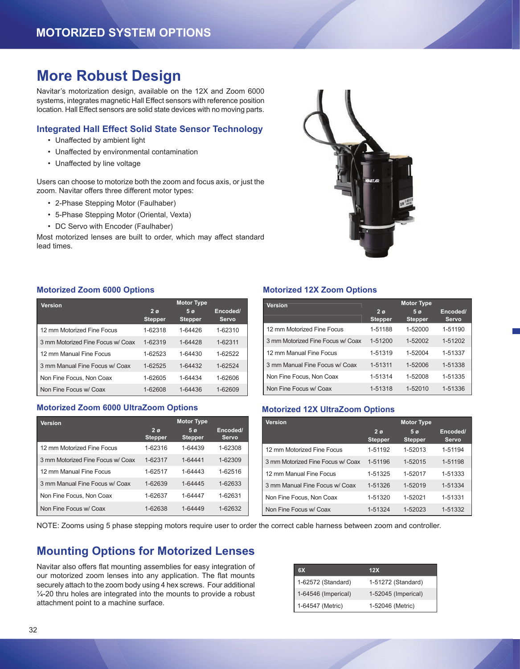## **More Robust Design**

Navitar's motorization design, available on the 12X and Zoom 6000 systems, integrates magnetic Hall Effect sensors with reference position location. Hall Effect sensors are solid state devices with no moving parts.

### **Integrated Hall Effect Solid State Sensor Technology**

- Unaffected by ambient light
- Unaffected by environmental contamination
- Unaffected by line voltage

Users can choose to motorize both the zoom and focus axis, or just the zoom. Navitar offers three different motor types:

- 2-Phase Stepping Motor (Faulhaber)
- 5-Phase Stepping Motor (Oriental, Vexta)
- DC Servo with Encoder (Faulhaber)

Most motorized lenses are built to order, which may affect standard lead times.



### **Motorized Zoom 6000 Options**

| Version                           | <b>Motor Type</b>           |                                  |                   |  |
|-----------------------------------|-----------------------------|----------------------------------|-------------------|--|
|                                   | $2\sigma$<br><b>Stepper</b> | 5 <sub>0</sub><br><b>Stepper</b> | Encoded/<br>Servo |  |
| 12 mm Motorized Fine Focus        | 1-62318                     | 1-64426                          | 1-62310           |  |
| 3 mm Motorized Fine Focus w/ Coax | 1-62319                     | 1-64428                          | 1-62311           |  |
| 12 mm Manual Fine Focus           | 1-62523                     | 1-64430                          | 1-62522           |  |
| 3 mm Manual Fine Focus w/ Coax    | 1-62525                     | 1-64432                          | 1-62524           |  |
| Non Fine Focus, Non Coax          | 1-62605                     | 1-64434                          | 1-62606           |  |
| Non Fine Focus w/ Coax            | 1-62608                     | 1-64436                          | 1-62609           |  |

### **Motorized Zoom 6000 UltraZoom Options**

| <b>Version</b>                    | <b>Motor Type</b>           |                                  |                   |  |
|-----------------------------------|-----------------------------|----------------------------------|-------------------|--|
|                                   | $2\sigma$<br><b>Stepper</b> | 5 <sub>0</sub><br><b>Stepper</b> | Encoded/<br>Servo |  |
| 12 mm Motorized Fine Focus        | 1-62316                     | 1-64439                          | 1-62308           |  |
| 3 mm Motorized Fine Focus w/ Coax | 1-62317                     | 1-64441                          | 1-62309           |  |
| 12 mm Manual Fine Focus           | 1-62517                     | 1-64443                          | 1-62516           |  |
| 3 mm Manual Fine Focus w/ Coax    | 1-62639                     | 1-64445                          | 1-62633           |  |
| Non Fine Focus, Non Coax          | 1-62637                     | 1-64447                          | 1-62631           |  |
| Non Fine Focus w/ Coax            | 1-62638                     | 1-64449                          | 1-62632           |  |

### **Motorized 12X Zoom Options**

| Version                           |                             | <b>Motor Type</b>                |                   |
|-----------------------------------|-----------------------------|----------------------------------|-------------------|
|                                   | $2\sigma$<br><b>Stepper</b> | 5 <sub>0</sub><br><b>Stepper</b> | Encoded/<br>Servo |
| 12 mm Motorized Fine Focus        | 1-51188                     | 1-52000                          | 1-51190           |
| 3 mm Motorized Fine Focus w/ Coax | 1-51200                     | 1-52002                          | 1-51202           |
| 12 mm Manual Fine Focus           | 1-51319                     | 1-52004                          | 1-51337           |
| 3 mm Manual Fine Focus w/ Coax    | 1-51311                     | 1-52006                          | 1-51338           |
| Non Fine Focus, Non Coax          | 1-51314                     | 1-52008                          | 1-51335           |
| Non Fine Focus w/ Coax            | 1-51318                     | 1-52010                          | 1-51336           |

### **Motorized 12X UltraZoom Options**

| <b>Version</b>                    | <b>Motor Type</b>                |                           |                          |
|-----------------------------------|----------------------------------|---------------------------|--------------------------|
|                                   | 2 <sub>0</sub><br><b>Stepper</b> | 5 <sub>o</sub><br>Stepper | Encoded/<br><b>Servo</b> |
| 12 mm Motorized Fine Focus        | 1-51192                          | 1-52013                   | 1-51194                  |
| 3 mm Motorized Fine Focus w/ Coax | 1-51196                          | 1-52015                   | 1-51198                  |
| 12 mm Manual Fine Focus           | 1-51325                          | 1-52017                   | 1-51333                  |
| 3 mm Manual Fine Focus w/ Coax    | 1-51326                          | 1-52019                   | 1-51334                  |
| Non Fine Focus, Non Coax          | 1-51320                          | 1-52021                   | 1-51331                  |
| Non Fine Focus w/ Coax            | 1-51324                          | 1-52023                   | 1-51332                  |

NOTE: Zooms using 5 phase stepping motors require user to order the correct cable harness between zoom and controller.

### **Mounting Options for Motorized Lenses**

Navitar also offers flat mounting assemblies for easy integration of our motorized zoom lenses into any application. The flat mounts securely attach to the zoom body using 4 hex screws. Four additional ¼-20 thru holes are integrated into the mounts to provide a robust attachment point to a machine surface.

| 6X                  | 12X                 |
|---------------------|---------------------|
| 1-62572 (Standard)  | 1-51272 (Standard)  |
| 1-64546 (Imperical) | 1-52045 (Imperical) |
| 1-64547 (Metric)    | 1-52046 (Metric)    |